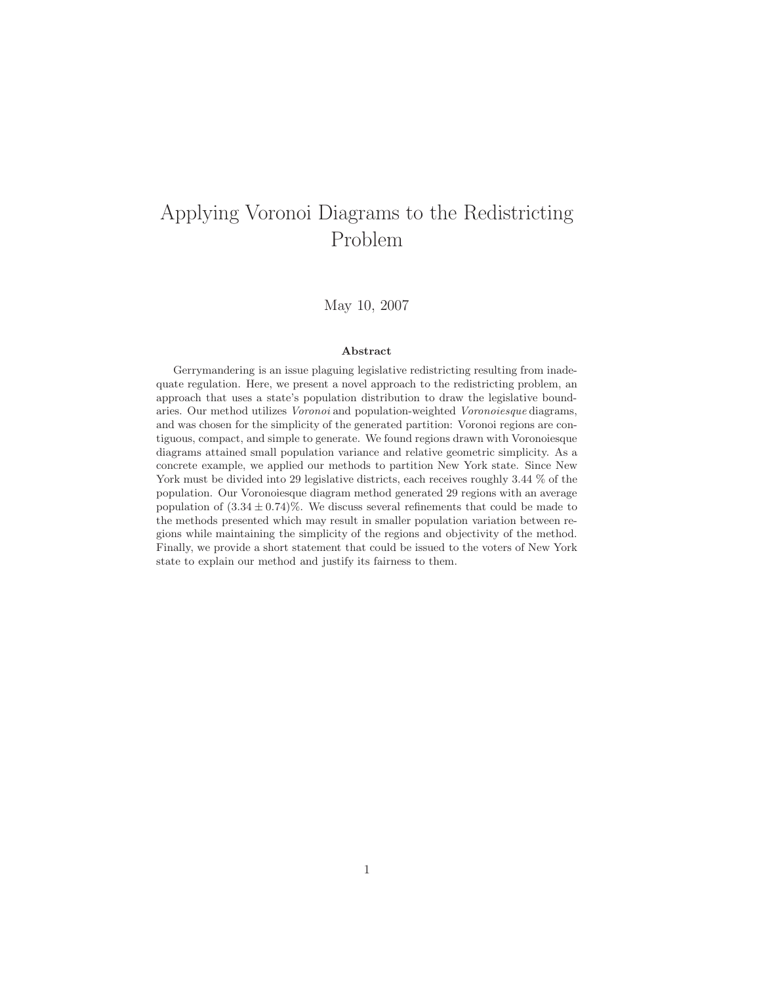# Applying Voronoi Diagrams to the Redistricting Problem

May 10, 2007

#### **Abstract**

Gerrymandering is an issue plaguing legislative redistricting resulting from inadequate regulation. Here, we present a novel approach to the redistricting problem, an approach that uses a state's population distribution to draw the legislative boundaries. Our method utilizes Voronoi and population-weighted Voronoiesque diagrams, and was chosen for the simplicity of the generated partition: Voronoi regions are contiguous, compact, and simple to generate. We found regions drawn with Voronoiesque diagrams attained small population variance and relative geometric simplicity. As a concrete example, we applied our methods to partition New York state. Since New York must be divided into 29 legislative districts, each receives roughly 3.44  $%$  of the population. Our Voronoiesque diagram method generated 29 regions with an average population of  $(3.34 \pm 0.74)\%$ . We discuss several refinements that could be made to the methods presented which may result in smaller population variation between regions while maintaining the simplicity of the regions and objectivity of the method. Finally, we provide a short statement that could be issued to the voters of New York state to explain our method and justify its fairness to them.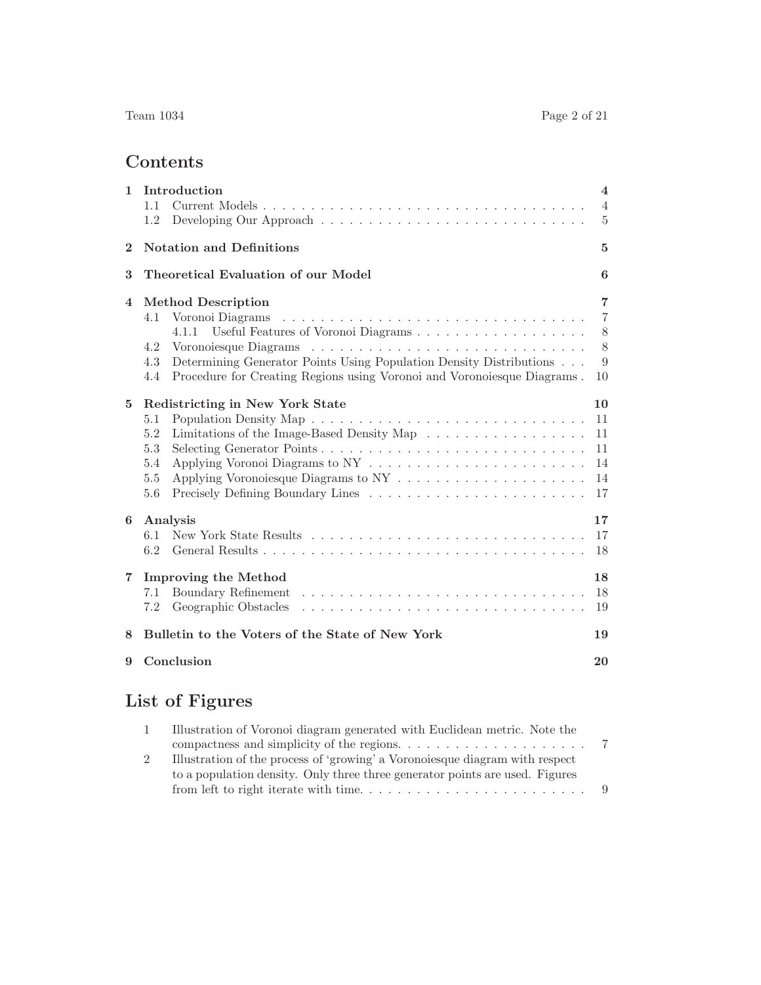# **Contents**

| $\mathbf{1}$   | Introduction<br>1.1<br>1.2                                                                                                                                                                                                                                                  | $\overline{4}$<br>$\overline{4}$<br>5    |  |  |  |  |  |
|----------------|-----------------------------------------------------------------------------------------------------------------------------------------------------------------------------------------------------------------------------------------------------------------------------|------------------------------------------|--|--|--|--|--|
| $\mathbf{2}$   | <b>Notation and Definitions</b>                                                                                                                                                                                                                                             |                                          |  |  |  |  |  |
| 3              | Theoretical Evaluation of our Model                                                                                                                                                                                                                                         |                                          |  |  |  |  |  |
| $\overline{4}$ | <b>Method Description</b><br>Voronoi Diagrams<br>4.1<br>Useful Features of Voronoi Diagrams<br>4.1.1<br>4.2<br>Determining Generator Points Using Population Density Distributions<br>4.3<br>Procedure for Creating Regions using Voronoi and Voronoiesque Diagrams.<br>4.4 | 7<br>$\overline{7}$<br>8<br>8<br>9<br>10 |  |  |  |  |  |
| 5              | Redistricting in New York State<br>5.1<br>Limitations of the Image-Based Density Map<br>5.2<br>Selecting Generator Points<br>5.3<br>5.4<br>5.5<br>5.6                                                                                                                       | 10<br>11<br>11<br>11<br>14<br>14<br>17   |  |  |  |  |  |
| 6              | Analysis<br>6.1<br>6.2                                                                                                                                                                                                                                                      | 17<br>17<br>18                           |  |  |  |  |  |
| $\overline{7}$ | <b>Improving the Method</b><br>Boundary Refinement<br>7.1<br>Geographic Obstacles<br>7.2                                                                                                                                                                                    |                                          |  |  |  |  |  |
| 8              | Bulletin to the Voters of the State of New York                                                                                                                                                                                                                             |                                          |  |  |  |  |  |
| 9              | Conclusion                                                                                                                                                                                                                                                                  |                                          |  |  |  |  |  |

# **List of Figures**

| Illustration of Voronoi diagram generated with Euclidean metric. Note the                |  |
|------------------------------------------------------------------------------------------|--|
| compactness and simplicity of the regions. $\dots \dots \dots \dots \dots \dots \dots$ 7 |  |
| Illustration of the process of 'growing' a Voronoi esque diagram with respect            |  |
| to a population density. Only three three generator points are used. Figures             |  |
|                                                                                          |  |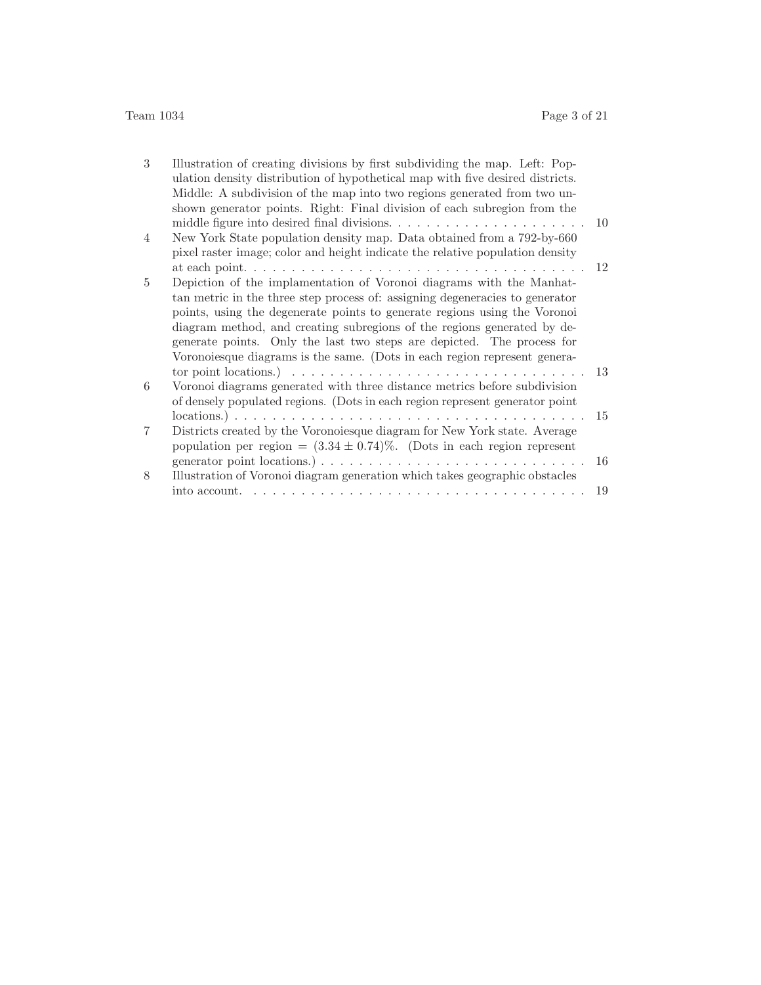| 3              | Illustration of creating divisions by first subdividing the map. Left: Pop-<br>ulation density distribution of hypothetical map with five desired districts. |    |
|----------------|--------------------------------------------------------------------------------------------------------------------------------------------------------------|----|
|                | Middle: A subdivision of the map into two regions generated from two un-                                                                                     |    |
|                | shown generator points. Right: Final division of each subregion from the                                                                                     |    |
|                |                                                                                                                                                              | 10 |
| $\overline{4}$ | New York State population density map. Data obtained from a 792-by-660                                                                                       |    |
|                | pixel raster image; color and height indicate the relative population density                                                                                |    |
|                |                                                                                                                                                              | 12 |
| $\overline{5}$ | Depiction of the implamentation of Voronoi diagrams with the Manhat-                                                                                         |    |
|                | tan metric in the three step process of: assigning degeneracies to generator                                                                                 |    |
|                | points, using the degenerate points to generate regions using the Voronoi                                                                                    |    |
|                | diagram method, and creating subregions of the regions generated by de-                                                                                      |    |
|                | generate points. Only the last two steps are depicted. The process for                                                                                       |    |
|                | Voronoiesque diagrams is the same. (Dots in each region represent genera-                                                                                    |    |
|                | tor point locations.) $\ldots \ldots \ldots \ldots \ldots \ldots \ldots \ldots \ldots \ldots \ldots$                                                         | 13 |
| 6              | Voronoi diagrams generated with three distance metrics before subdivision                                                                                    |    |
|                | of densely populated regions. (Dots in each region represent generator point                                                                                 |    |
|                |                                                                                                                                                              | 15 |
| 7              | Districts created by the Voronoiesque diagram for New York state. Average                                                                                    |    |
|                | population per region = $(3.34 \pm 0.74)\%$ . (Dots in each region represent                                                                                 |    |
|                |                                                                                                                                                              | 16 |
| 8              | Illustration of Voronoi diagram generation which takes geographic obstacles                                                                                  |    |
|                |                                                                                                                                                              | 19 |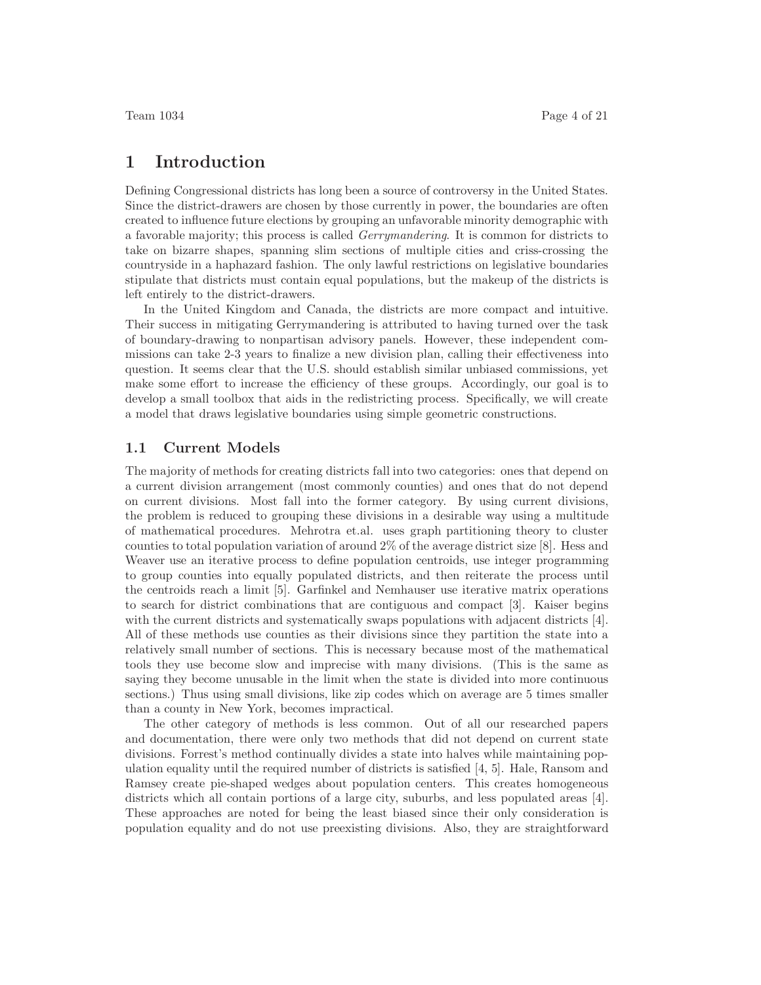# **1 Introduction**

Defining Congressional districts has long been a source of controversy in the United States. Since the district-drawers are chosen by those currently in power, the boundaries are often created to influence future elections by grouping an unfavorable minority demographic with a favorable majority; this process is called *Gerrymandering*. It is common for districts to take on bizarre shapes, spanning slim sections of multiple cities and criss-crossing the countryside in a haphazard fashion. The only lawful restrictions on legislative boundaries stipulate that districts must contain equal populations, but the makeup of the districts is left entirely to the district-drawers.

In the United Kingdom and Canada, the districts are more compact and intuitive. Their success in mitigating Gerrymandering is attributed to having turned over the task of boundary-drawing to nonpartisan advisory panels. However, these independent commissions can take 2-3 years to finalize a new division plan, calling their effectiveness into question. It seems clear that the U.S. should establish similar unbiased commissions, yet make some effort to increase the efficiency of these groups. Accordingly, our goal is to develop a small toolbox that aids in the redistricting process. Specifically, we will create a model that draws legislative boundaries using simple geometric constructions.

#### **1.1 Current Models**

The majority of methods for creating districts fall into two categories: ones that depend on a current division arrangement (most commonly counties) and ones that do not depend on current divisions. Most fall into the former category. By using current divisions, the problem is reduced to grouping these divisions in a desirable way using a multitude of mathematical procedures. Mehrotra et.al. uses graph partitioning theory to cluster counties to total population variation of around 2% of the average district size [8]. Hess and Weaver use an iterative process to define population centroids, use integer programming to group counties into equally populated districts, and then reiterate the process until the centroids reach a limit [5]. Garfinkel and Nemhauser use iterative matrix operations to search for district combinations that are contiguous and compact [3]. Kaiser begins with the current districts and systematically swaps populations with adjacent districts [4]. All of these methods use counties as their divisions since they partition the state into a relatively small number of sections. This is necessary because most of the mathematical tools they use become slow and imprecise with many divisions. (This is the same as saying they become unusable in the limit when the state is divided into more continuous sections.) Thus using small divisions, like zip codes which on average are 5 times smaller than a county in New York, becomes impractical.

The other category of methods is less common. Out of all our researched papers and documentation, there were only two methods that did not depend on current state divisions. Forrest's method continually divides a state into halves while maintaining population equality until the required number of districts is satisfied [4, 5]. Hale, Ransom and Ramsey create pie-shaped wedges about population centers. This creates homogeneous districts which all contain portions of a large city, suburbs, and less populated areas [4]. These approaches are noted for being the least biased since their only consideration is population equality and do not use preexisting divisions. Also, they are straightforward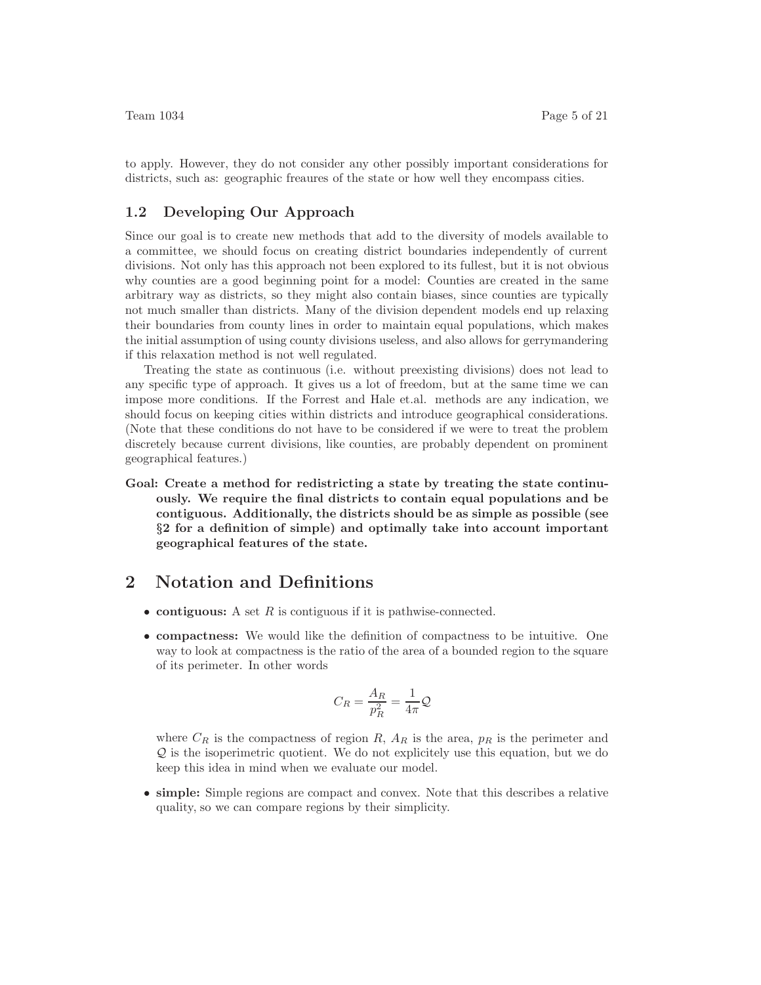to apply. However, they do not consider any other possibly important considerations for districts, such as: geographic freaures of the state or how well they encompass cities.

#### **1.2 Developing Our Approach**

Since our goal is to create new methods that add to the diversity of models available to a committee, we should focus on creating district boundaries independently of current divisions. Not only has this approach not been explored to its fullest, but it is not obvious why counties are a good beginning point for a model: Counties are created in the same arbitrary way as districts, so they might also contain biases, since counties are typically not much smaller than districts. Many of the division dependent models end up relaxing their boundaries from county lines in order to maintain equal populations, which makes the initial assumption of using county divisions useless, and also allows for gerrymandering if this relaxation method is not well regulated.

Treating the state as continuous (i.e. without preexisting divisions) does not lead to any specific type of approach. It gives us a lot of freedom, but at the same time we can impose more conditions. If the Forrest and Hale et.al. methods are any indication, we should focus on keeping cities within districts and introduce geographical considerations. (Note that these conditions do not have to be considered if we were to treat the problem discretely because current divisions, like counties, are probably dependent on prominent geographical features.)

**Goal: Create a method for redistricting a state by treating the state continuously. We require the final districts to contain equal populations and be contiguous. Additionally, the districts should be as simple as possible (see** *§***2 for a definition of simple) and optimally take into account important geographical features of the state.**

# **2 Notation and Definitions**

- **contiguous:** A set *R* is contiguous if it is pathwise-connected.
- **compactness:** We would like the definition of compactness to be intuitive. One way to look at compactness is the ratio of the area of a bounded region to the square of its perimeter. In other words

$$
C_R = \frac{A_R}{p_R^2} = \frac{1}{4\pi} \mathcal{Q}
$$

where  $C_R$  is the compactness of region  $R$ ,  $A_R$  is the area,  $p_R$  is the perimeter and Q is the isoperimetric quotient. We do not explicitely use this equation, but we do keep this idea in mind when we evaluate our model.

• **simple:** Simple regions are compact and convex. Note that this describes a relative quality, so we can compare regions by their simplicity.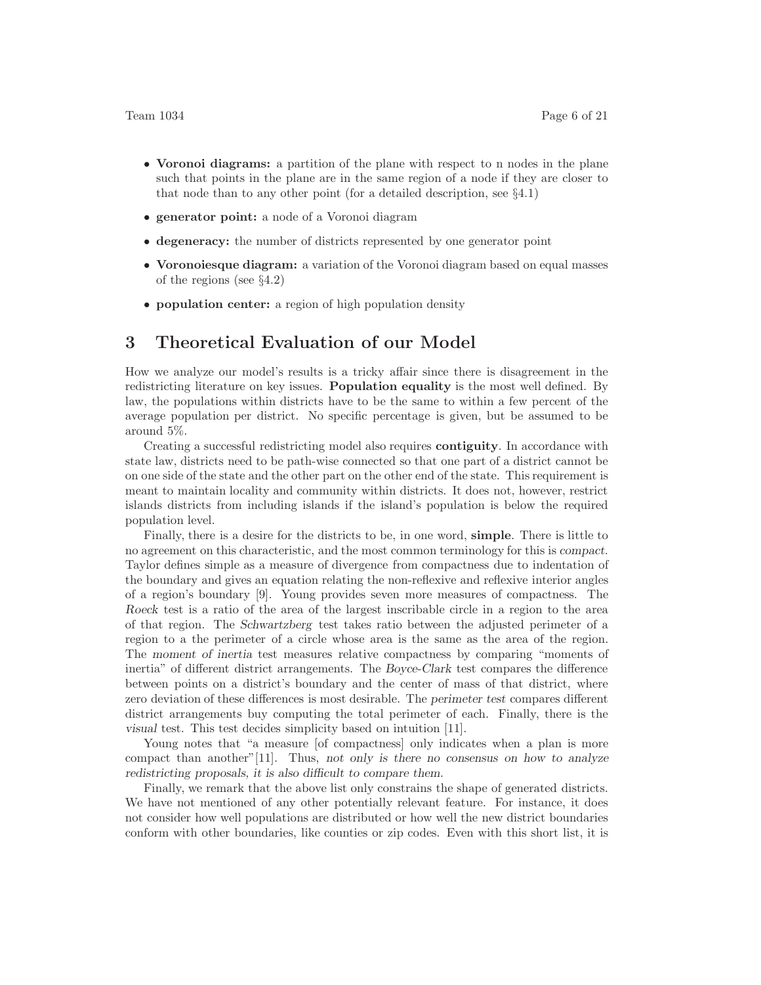- **Voronoi diagrams:** a partition of the plane with respect to n nodes in the plane such that points in the plane are in the same region of a node if they are closer to that node than to any other point (for a detailed description, see §4.1)
- **generator point:** a node of a Voronoi diagram
- **degeneracy:** the number of districts represented by one generator point
- **Voronoiesque diagram:** a variation of the Voronoi diagram based on equal masses of the regions (see §4.2)
- **population center:** a region of high population density

# **3 Theoretical Evaluation of our Model**

How we analyze our model's results is a tricky affair since there is disagreement in the redistricting literature on key issues. **Population equality** is the most well defined. By law, the populations within districts have to be the same to within a few percent of the average population per district. No specific percentage is given, but be assumed to be around 5%.

Creating a successful redistricting model also requires **contiguity**. In accordance with state law, districts need to be path-wise connected so that one part of a district cannot be on one side of the state and the other part on the other end of the state. This requirement is meant to maintain locality and community within districts. It does not, however, restrict islands districts from including islands if the island's population is below the required population level.

Finally, there is a desire for the districts to be, in one word, **simple**. There is little to no agreement on this characteristic, and the most common terminology for this is compact. Taylor defines simple as a measure of divergence from compactness due to indentation of the boundary and gives an equation relating the non-reflexive and reflexive interior angles of a region's boundary [9]. Young provides seven more measures of compactness. The Roeck test is a ratio of the area of the largest inscribable circle in a region to the area of that region. The Schwartzberg test takes ratio between the adjusted perimeter of a region to a the perimeter of a circle whose area is the same as the area of the region. The moment of inertia test measures relative compactness by comparing "moments of inertia" of different district arrangements. The Boyce-Clark test compares the difference between points on a district's boundary and the center of mass of that district, where zero deviation of these differences is most desirable. The perimeter test compares different district arrangements buy computing the total perimeter of each. Finally, there is the visual test. This test decides simplicity based on intuition [11].

Young notes that "a measure [of compactness] only indicates when a plan is more compact than another"[11]. Thus, not only is there no consensus on how to analyze redistricting proposals, it is also difficult to compare them.

Finally, we remark that the above list only constrains the shape of generated districts. We have not mentioned of any other potentially relevant feature. For instance, it does not consider how well populations are distributed or how well the new district boundaries conform with other boundaries, like counties or zip codes. Even with this short list, it is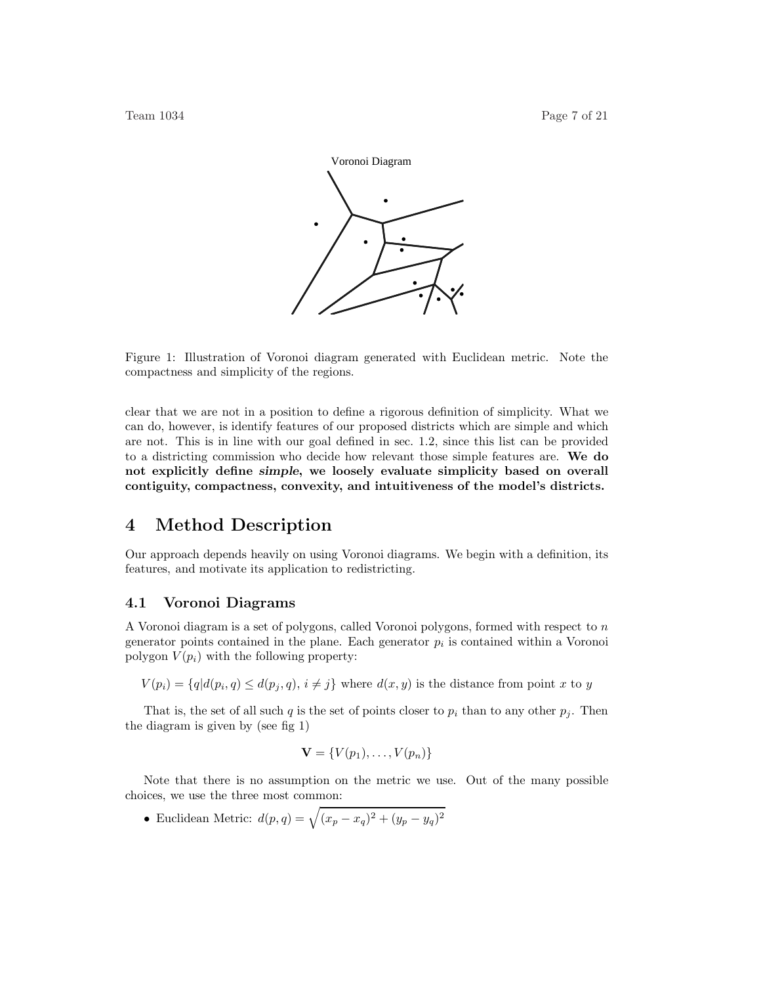

Figure 1: Illustration of Voronoi diagram generated with Euclidean metric. Note the compactness and simplicity of the regions.

clear that we are not in a position to define a rigorous definition of simplicity. What we can do, however, is identify features of our proposed districts which are simple and which are not. This is in line with our goal defined in sec. 1.2, since this list can be provided to a districting commission who decide how relevant those simple features are. **We do not explicitly define** *simple***, we loosely evaluate simplicity based on overall contiguity, compactness, convexity, and intuitiveness of the model's districts.**

# **4 Method Description**

Our approach depends heavily on using Voronoi diagrams. We begin with a definition, its features, and motivate its application to redistricting.

#### **4.1 Voronoi Diagrams**

A Voronoi diagram is a set of polygons, called Voronoi polygons, formed with respect to *n* generator points contained in the plane. Each generator  $p_i$  is contained within a Voronoi polygon  $V(p_i)$  with the following property:

 $V(p_i) = \{q | d(p_i, q) \leq d(p_i, q), i \neq j\}$  where  $d(x, y)$  is the distance from point *x* to *y* 

That is, the set of all such *q* is the set of points closer to  $p_i$  than to any other  $p_j$ . Then the diagram is given by (see fig 1)

$$
\mathbf{V} = \{V(p_1), \ldots, V(p_n)\}
$$

Note that there is no assumption on the metric we use. Out of the many possible choices, we use the three most common:

• Euclidean Metric:  $d(p, q) = \sqrt{(x_p - x_q)^2 + (y_p - y_q)^2}$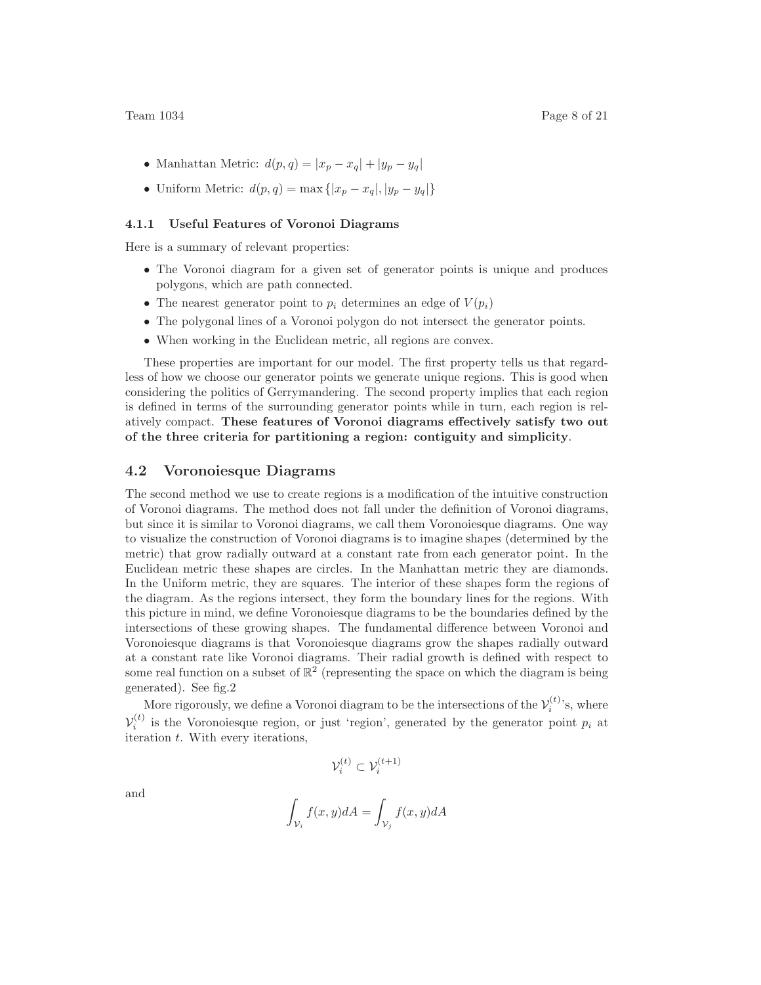- Manhattan Metric:  $d(p, q) = |x_p x_q| + |y_p y_q|$
- Uniform Metric:  $d(p, q) = \max\{|x_p x_q|, |y_p y_q|\}$

#### **4.1.1 Useful Features of Voronoi Diagrams**

Here is a summary of relevant properties:

- The Voronoi diagram for a given set of generator points is unique and produces polygons, which are path connected.
- The nearest generator point to  $p_i$  determines an edge of  $V(p_i)$
- The polygonal lines of a Voronoi polygon do not intersect the generator points.
- When working in the Euclidean metric, all regions are convex.

These properties are important for our model. The first property tells us that regardless of how we choose our generator points we generate unique regions. This is good when considering the politics of Gerrymandering. The second property implies that each region is defined in terms of the surrounding generator points while in turn, each region is relatively compact. **These features of Voronoi diagrams effectively satisfy two out of the three criteria for partitioning a region: contiguity and simplicity**.

#### **4.2 Voronoiesque Diagrams**

The second method we use to create regions is a modification of the intuitive construction of Voronoi diagrams. The method does not fall under the definition of Voronoi diagrams, but since it is similar to Voronoi diagrams, we call them Voronoiesque diagrams. One way to visualize the construction of Voronoi diagrams is to imagine shapes (determined by the metric) that grow radially outward at a constant rate from each generator point. In the Euclidean metric these shapes are circles. In the Manhattan metric they are diamonds. In the Uniform metric, they are squares. The interior of these shapes form the regions of the diagram. As the regions intersect, they form the boundary lines for the regions. With this picture in mind, we define Voronoiesque diagrams to be the boundaries defined by the intersections of these growing shapes. The fundamental difference between Voronoi and Voronoiesque diagrams is that Voronoiesque diagrams grow the shapes radially outward at a constant rate like Voronoi diagrams. Their radial growth is defined with respect to some real function on a subset of  $\mathbb{R}^2$  (representing the space on which the diagram is being generated). See fig.2

More rigorously, we define a Voronoi diagram to be the intersections of the  $\mathcal{V}_i^{(t)}$ 's, where  $\mathcal{V}_i^{(t)}$  is the Voronoiesque region, or just 'region', generated by the generator point  $p_i$  at iteration *t*. With every iterations,

$$
\mathcal{V}_i^{(t)} \subset \mathcal{V}_i^{(t+1)}
$$

and

$$
\int_{\mathcal{V}_i} f(x, y) dA = \int_{\mathcal{V}_j} f(x, y) dA
$$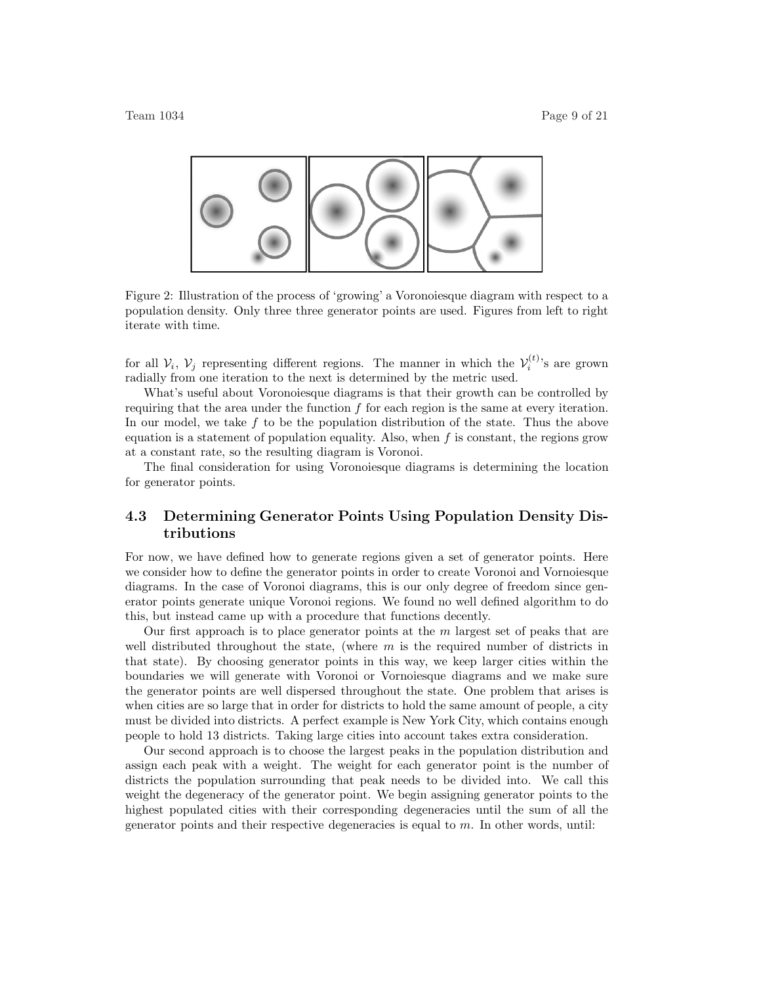

Figure 2: Illustration of the process of 'growing' a Voronoiesque diagram with respect to a population density. Only three three generator points are used. Figures from left to right iterate with time.

for all  $V_i$ ,  $V_j$  representing different regions. The manner in which the  $V_i^{(t)}$ 's are grown radially from one iteration to the next is determined by the metric used.

What's useful about Voronoiesque diagrams is that their growth can be controlled by requiring that the area under the function *f* for each region is the same at every iteration. In our model, we take *f* to be the population distribution of the state. Thus the above equation is a statement of population equality. Also, when  $f$  is constant, the regions grow at a constant rate, so the resulting diagram is Voronoi.

The final consideration for using Voronoiesque diagrams is determining the location for generator points.

# **4.3 Determining Generator Points Using Population Density Distributions**

For now, we have defined how to generate regions given a set of generator points. Here we consider how to define the generator points in order to create Voronoi and Vornoiesque diagrams. In the case of Voronoi diagrams, this is our only degree of freedom since generator points generate unique Voronoi regions. We found no well defined algorithm to do this, but instead came up with a procedure that functions decently.

Our first approach is to place generator points at the *m* largest set of peaks that are well distributed throughout the state, (where *m* is the required number of districts in that state). By choosing generator points in this way, we keep larger cities within the boundaries we will generate with Voronoi or Vornoiesque diagrams and we make sure the generator points are well dispersed throughout the state. One problem that arises is when cities are so large that in order for districts to hold the same amount of people, a city must be divided into districts. A perfect example is New York City, which contains enough people to hold 13 districts. Taking large cities into account takes extra consideration.

Our second approach is to choose the largest peaks in the population distribution and assign each peak with a weight. The weight for each generator point is the number of districts the population surrounding that peak needs to be divided into. We call this weight the degeneracy of the generator point. We begin assigning generator points to the highest populated cities with their corresponding degeneracies until the sum of all the generator points and their respective degeneracies is equal to *m*. In other words, until: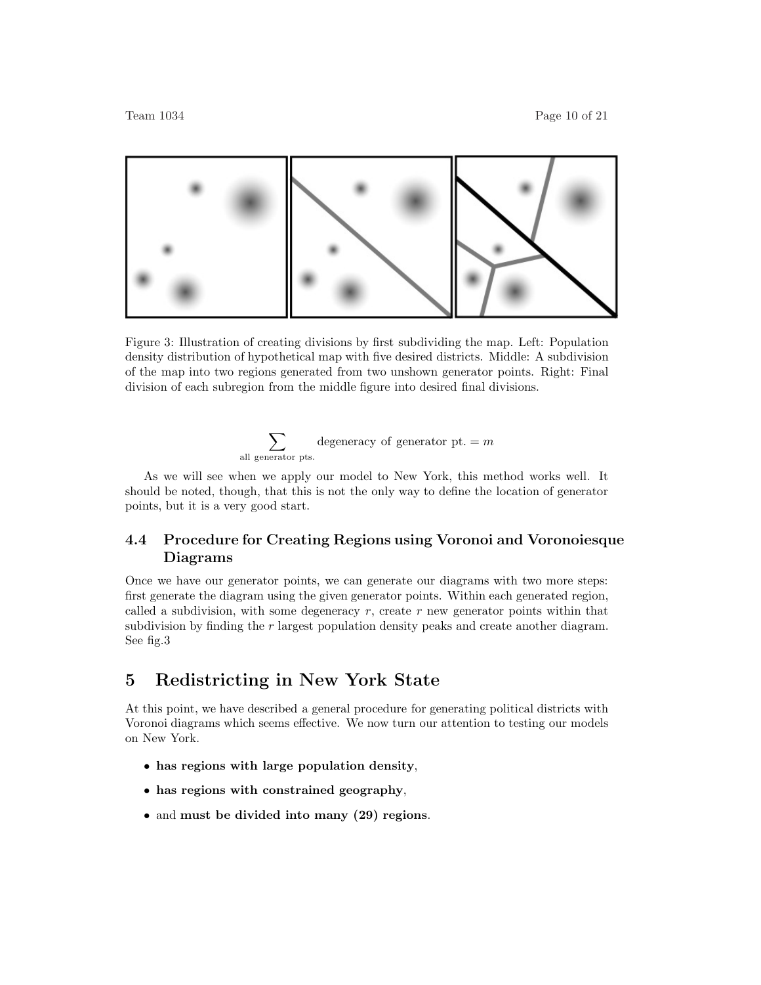

Figure 3: Illustration of creating divisions by first subdividing the map. Left: Population density distribution of hypothetical map with five desired districts. Middle: A subdivision of the map into two regions generated from two unshown generator points. Right: Final division of each subregion from the middle figure into desired final divisions.



As we will see when we apply our model to New York, this method works well. It should be noted, though, that this is not the only way to define the location of generator points, but it is a very good start.

# **4.4 Procedure for Creating Regions using Voronoi and Voronoiesque Diagrams**

Once we have our generator points, we can generate our diagrams with two more steps: first generate the diagram using the given generator points. Within each generated region, called a subdivision, with some degeneracy *r*, create *r* new generator points within that subdivision by finding the *r* largest population density peaks and create another diagram. See fig.3

# **5 Redistricting in New York State**

At this point, we have described a general procedure for generating political districts with Voronoi diagrams which seems effective. We now turn our attention to testing our models on New York.

- **has regions with large population density**,
- **has regions with constrained geography**,
- and **must be divided into many (29) regions**.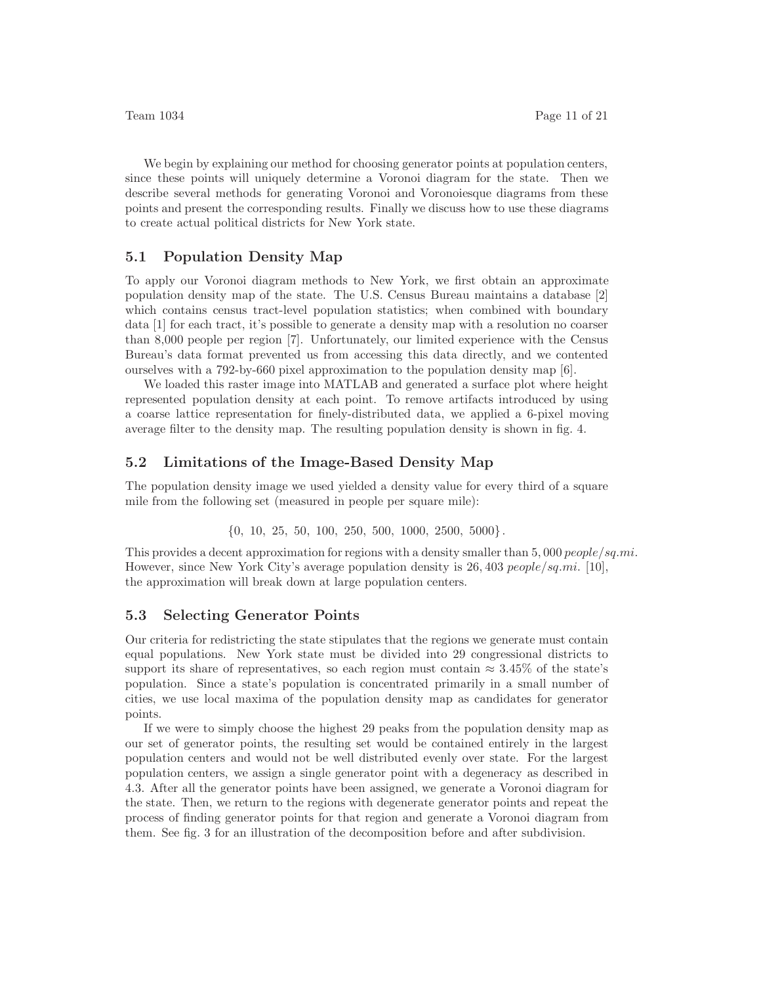We begin by explaining our method for choosing generator points at population centers, since these points will uniquely determine a Voronoi diagram for the state. Then we describe several methods for generating Voronoi and Voronoiesque diagrams from these points and present the corresponding results. Finally we discuss how to use these diagrams to create actual political districts for New York state.

#### **5.1 Population Density Map**

To apply our Voronoi diagram methods to New York, we first obtain an approximate population density map of the state. The U.S. Census Bureau maintains a database [2] which contains census tract-level population statistics; when combined with boundary data [1] for each tract, it's possible to generate a density map with a resolution no coarser than 8,000 people per region [7]. Unfortunately, our limited experience with the Census Bureau's data format prevented us from accessing this data directly, and we contented ourselves with a 792-by-660 pixel approximation to the population density map [6].

We loaded this raster image into MATLAB and generated a surface plot where height represented population density at each point. To remove artifacts introduced by using a coarse lattice representation for finely-distributed data, we applied a 6-pixel moving average filter to the density map. The resulting population density is shown in fig. 4.

#### **5.2 Limitations of the Image-Based Density Map**

The population density image we used yielded a density value for every third of a square mile from the following set (measured in people per square mile):

{0*,* 10*,* 25*,* 50*,* 100*,* 250*,* 500*,* 1000*,* 2500*,* 5000}*.*

This provides a decent approximation for regions with a density smaller than 5*,* 000 *people/sq.mi.* However, since New York City's average population density is 26*,* 403 *people/sq.mi.* [10], the approximation will break down at large population centers.

#### **5.3 Selecting Generator Points**

Our criteria for redistricting the state stipulates that the regions we generate must contain equal populations. New York state must be divided into 29 congressional districts to support its share of representatives, so each region must contain  $\approx 3.45\%$  of the state's population. Since a state's population is concentrated primarily in a small number of cities, we use local maxima of the population density map as candidates for generator points.

If we were to simply choose the highest 29 peaks from the population density map as our set of generator points, the resulting set would be contained entirely in the largest population centers and would not be well distributed evenly over state. For the largest population centers, we assign a single generator point with a degeneracy as described in 4.3. After all the generator points have been assigned, we generate a Voronoi diagram for the state. Then, we return to the regions with degenerate generator points and repeat the process of finding generator points for that region and generate a Voronoi diagram from them. See fig. 3 for an illustration of the decomposition before and after subdivision.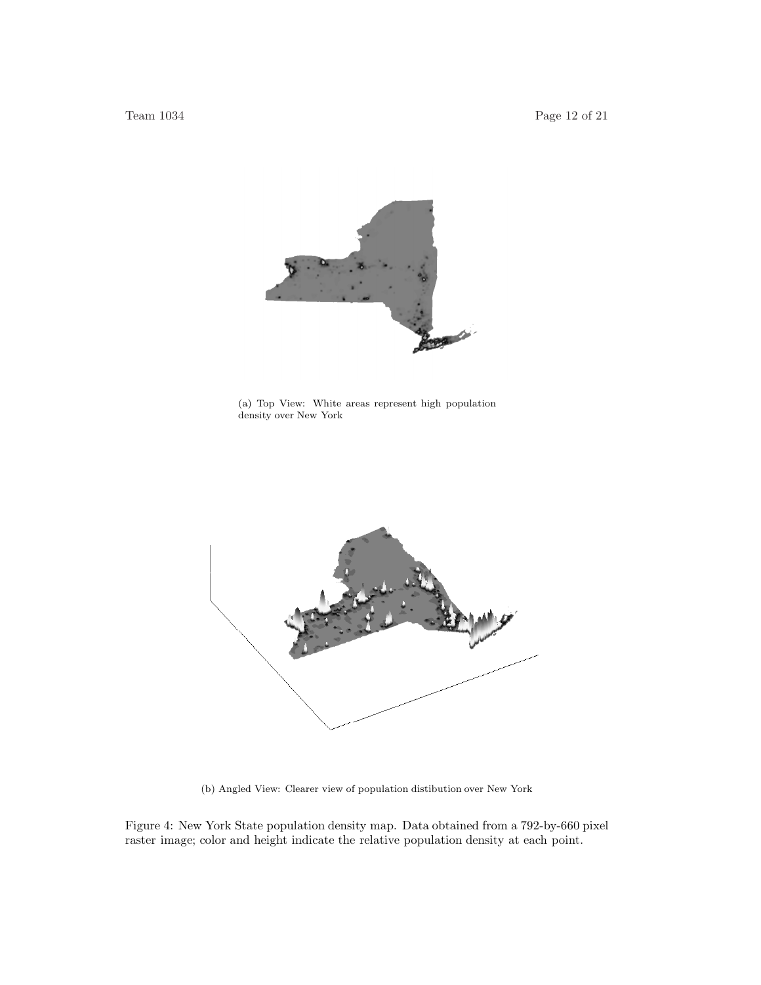

(a) Top View: White areas represent high population density over New York



(b) Angled View: Clearer view of population distibution over New York

Figure 4: New York State population density map. Data obtained from a 792-by-660 pixel raster image; color and height indicate the relative population density at each point.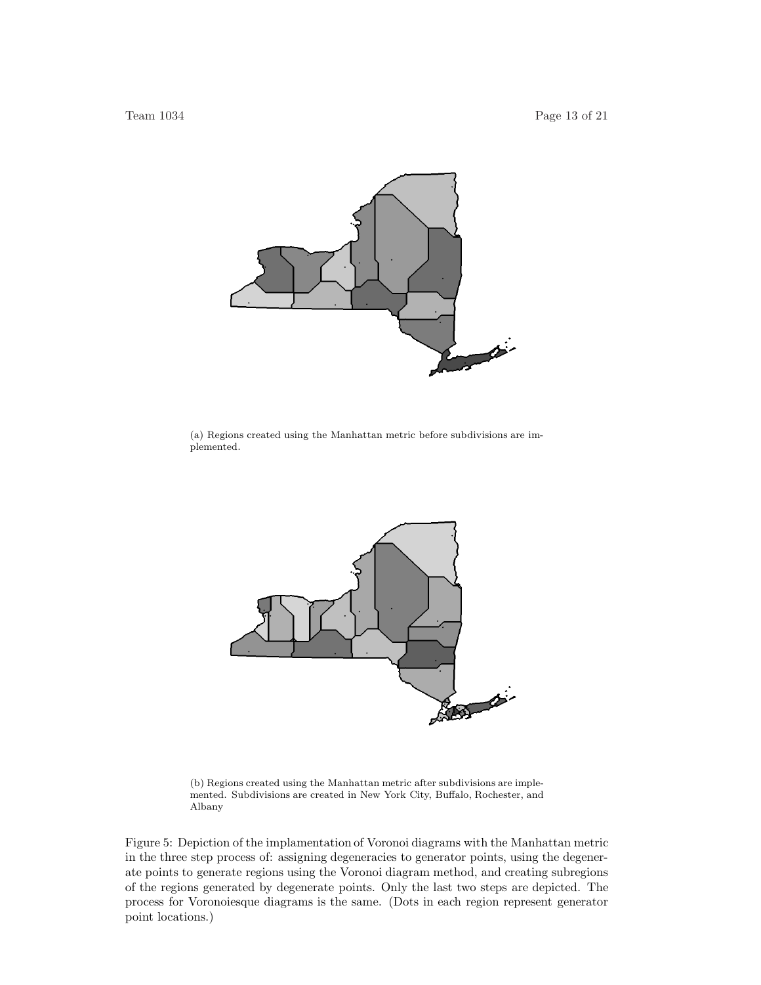

(a) Regions created using the Manhattan metric before subdivisions are implemented.



(b) Regions created using the Manhattan metric after subdivisions are implemented. Subdivisions are created in New York City, Buffalo, Rochester, and Albany

Figure 5: Depiction of the implamentation of Voronoi diagrams with the Manhattan metric in the three step process of: assigning degeneracies to generator points, using the degenerate points to generate regions using the Voronoi diagram method, and creating subregions of the regions generated by degenerate points. Only the last two steps are depicted. The process for Voronoiesque diagrams is the same. (Dots in each region represent generator point locations.)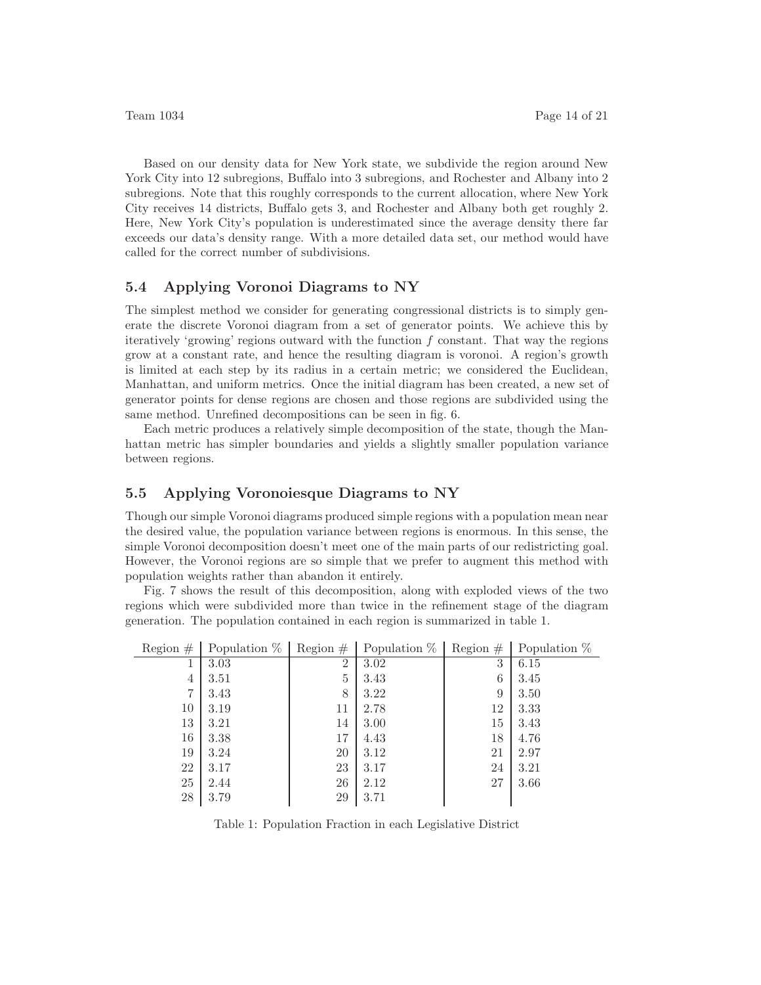Based on our density data for New York state, we subdivide the region around New York City into 12 subregions, Buffalo into 3 subregions, and Rochester and Albany into 2 subregions. Note that this roughly corresponds to the current allocation, where New York City receives 14 districts, Buffalo gets 3, and Rochester and Albany both get roughly 2. Here, New York City's population is underestimated since the average density there far exceeds our data's density range. With a more detailed data set, our method would have called for the correct number of subdivisions.

### **5.4 Applying Voronoi Diagrams to NY**

The simplest method we consider for generating congressional districts is to simply generate the discrete Voronoi diagram from a set of generator points. We achieve this by iteratively 'growing' regions outward with the function *f* constant. That way the regions grow at a constant rate, and hence the resulting diagram is voronoi. A region's growth is limited at each step by its radius in a certain metric; we considered the Euclidean, Manhattan, and uniform metrics. Once the initial diagram has been created, a new set of generator points for dense regions are chosen and those regions are subdivided using the same method. Unrefined decompositions can be seen in fig. 6.

Each metric produces a relatively simple decomposition of the state, though the Manhattan metric has simpler boundaries and yields a slightly smaller population variance between regions.

#### **5.5 Applying Voronoiesque Diagrams to NY**

Though our simple Voronoi diagrams produced simple regions with a population mean near the desired value, the population variance between regions is enormous. In this sense, the simple Voronoi decomposition doesn't meet one of the main parts of our redistricting goal. However, the Voronoi regions are so simple that we prefer to augment this method with population weights rather than abandon it entirely.

Fig. 7 shows the result of this decomposition, along with exploded views of the two regions which were subdivided more than twice in the refinement stage of the diagram generation. The population contained in each region is summarized in table 1.

| Region $#$     | Population $%$ | Region $#$     | Population $\%$ | Region $#$ | Population $%$ |
|----------------|----------------|----------------|-----------------|------------|----------------|
|                | 3.03           | $\overline{2}$ | 3.02            | 3          | 6.15           |
| 4              | 3.51           | 5              | 3.43            | 6          | 3.45           |
| $\overline{7}$ | 3.43           | 8              | 3.22            | 9          | 3.50           |
| 10             | 3.19           | 11             | 2.78            | 12         | 3.33           |
| 13             | 3.21           | 14             | 3.00            | 15         | 3.43           |
| 16             | 3.38           | 17             | 4.43            | 18         | 4.76           |
| 19             | 3.24           | 20             | 3.12            | 21         | 2.97           |
| 22             | 3.17           | 23             | 3.17            | 24         | 3.21           |
| 25             | 2.44           | 26             | 2.12            | 27         | 3.66           |
| $28\,$         | 3.79           | 29             | 3.71            |            |                |

Table 1: Population Fraction in each Legislative District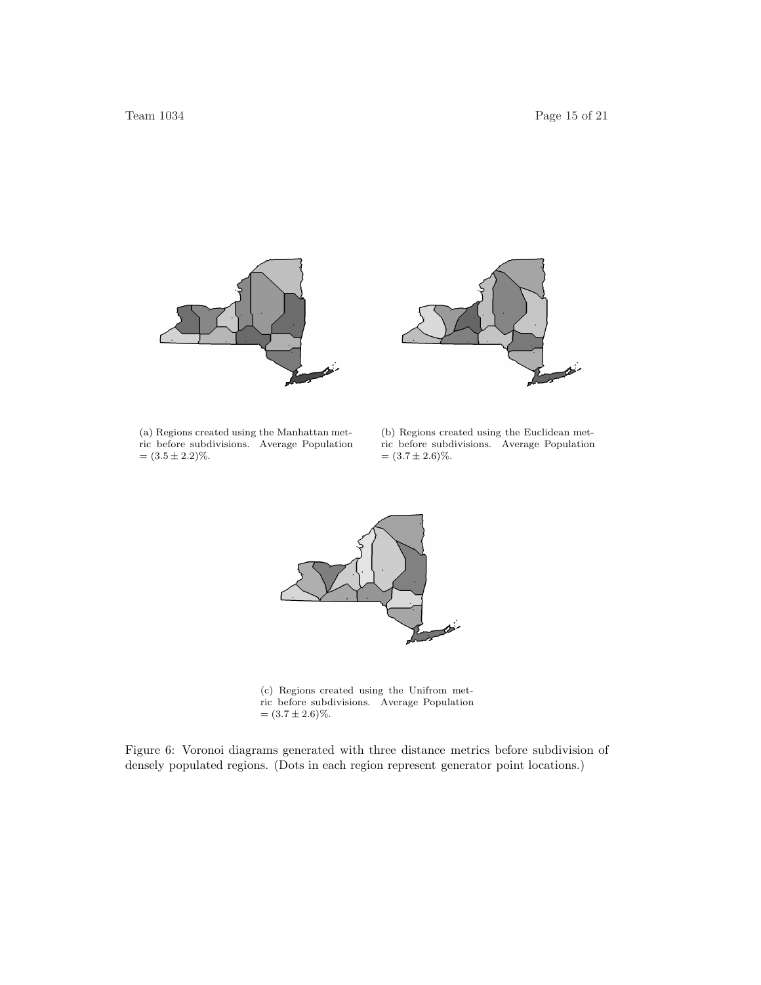

(a) Regions created using the Manhattan metric before subdivisions. Average Population  $= (3.5 \pm 2.2)\%$ .

(b) Regions created using the Euclidean metric before subdivisions. Average Population  $=(3.7 \pm 2.6)\%$ .



(c) Regions created using the Unifrom metric before subdivisions. Average Population  $=(3.7 \pm 2.6)\%$ .

Figure 6: Voronoi diagrams generated with three distance metrics before subdivision of densely populated regions. (Dots in each region represent generator point locations.)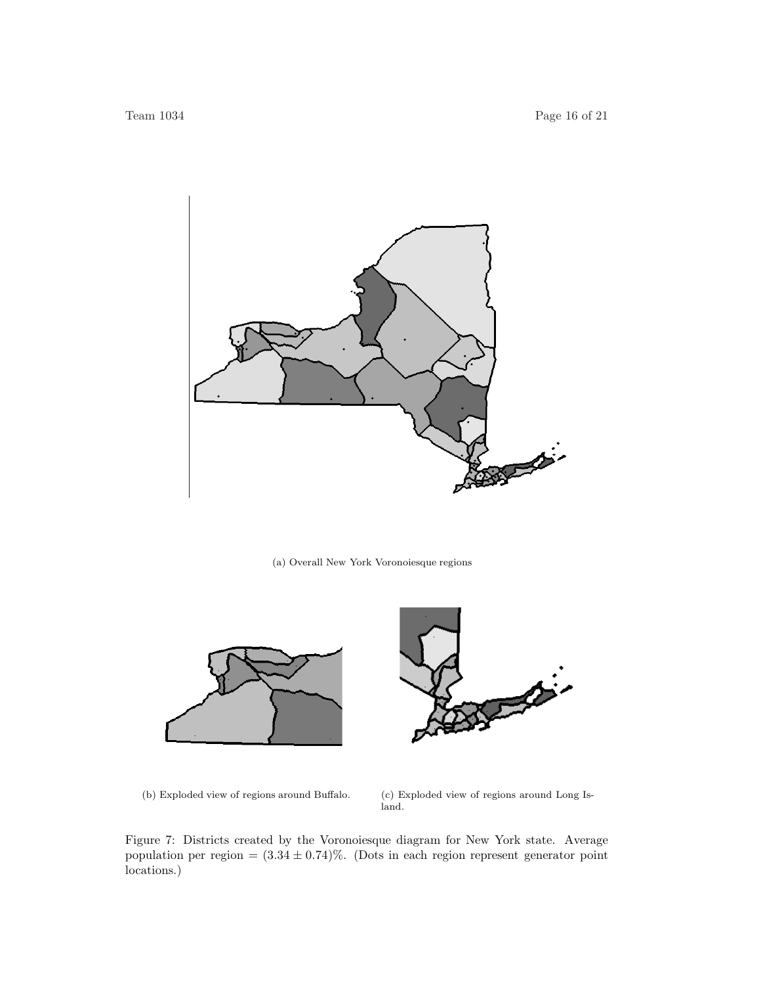

#### (a) Overall New York Voronoiesque regions





(b) Exploded view of regions around Buffalo. (c) Exploded view of regions around Long Island.

Figure 7: Districts created by the Voronoiesque diagram for New York state. Average population per region =  $(3.34 \pm 0.74)\%$ . (Dots in each region represent generator point locations.)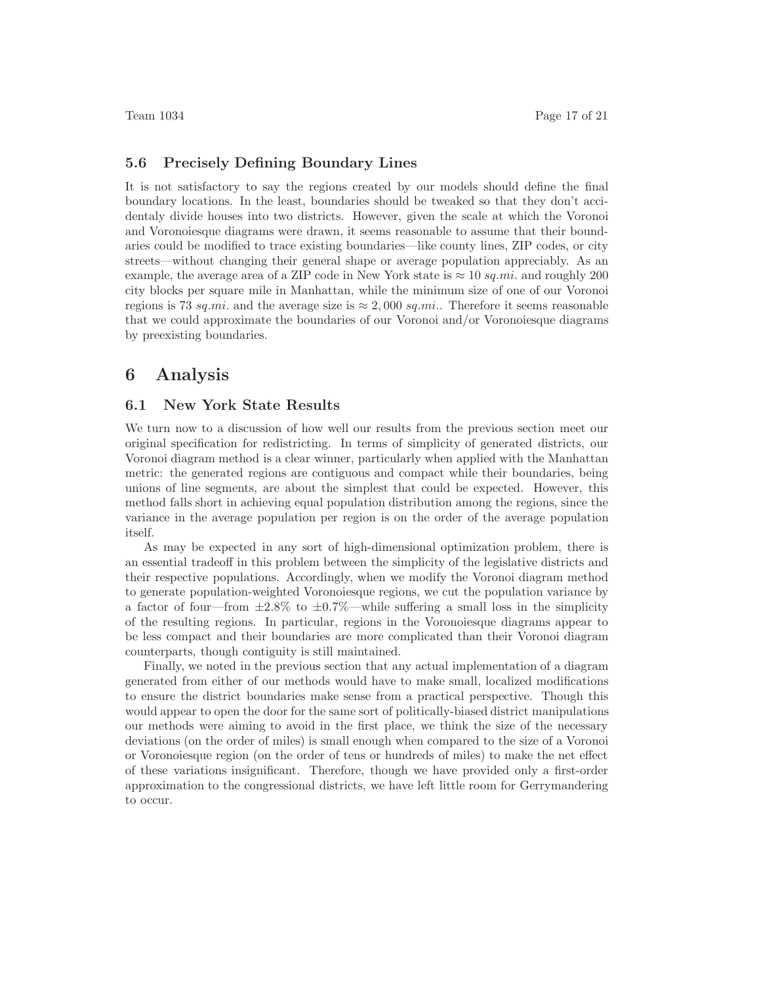#### **5.6 Precisely Defining Boundary Lines**

It is not satisfactory to say the regions created by our models should define the final boundary locations. In the least, boundaries should be tweaked so that they don't accidentaly divide houses into two districts. However, given the scale at which the Voronoi and Voronoiesque diagrams were drawn, it seems reasonable to assume that their boundaries could be modified to trace existing boundaries—like county lines, ZIP codes, or city streets—without changing their general shape or average population appreciably. As an example, the average area of a ZIP code in New York state is  $\approx 10$  *sq.mi.* and roughly 200 city blocks per square mile in Manhattan, while the minimum size of one of our Voronoi regions is 73 *sq.mi*. and the average size is  $\approx 2,000$  *sq.mi.*. Therefore it seems reasonable that we could approximate the boundaries of our Voronoi and/or Voronoiesque diagrams by preexisting boundaries.

# **6 Analysis**

#### **6.1 New York State Results**

We turn now to a discussion of how well our results from the previous section meet our original specification for redistricting. In terms of simplicity of generated districts, our Voronoi diagram method is a clear winner, particularly when applied with the Manhattan metric: the generated regions are contiguous and compact while their boundaries, being unions of line segments, are about the simplest that could be expected. However, this method falls short in achieving equal population distribution among the regions, since the variance in the average population per region is on the order of the average population itself.

As may be expected in any sort of high-dimensional optimization problem, there is an essential tradeoff in this problem between the simplicity of the legislative districts and their respective populations. Accordingly, when we modify the Voronoi diagram method to generate population-weighted Voronoiesque regions, we cut the population variance by a factor of four—from  $\pm 2.8\%$  to  $\pm 0.7\%$ —while suffering a small loss in the simplicity of the resulting regions. In particular, regions in the Voronoiesque diagrams appear to be less compact and their boundaries are more complicated than their Voronoi diagram counterparts, though contiguity is still maintained.

Finally, we noted in the previous section that any actual implementation of a diagram generated from either of our methods would have to make small, localized modifications to ensure the district boundaries make sense from a practical perspective. Though this would appear to open the door for the same sort of politically-biased district manipulations our methods were aiming to avoid in the first place, we think the size of the necessary deviations (on the order of miles) is small enough when compared to the size of a Voronoi or Voronoiesque region (on the order of tens or hundreds of miles) to make the net effect of these variations insignificant. Therefore, though we have provided only a first-order approximation to the congressional districts, we have left little room for Gerrymandering to occur.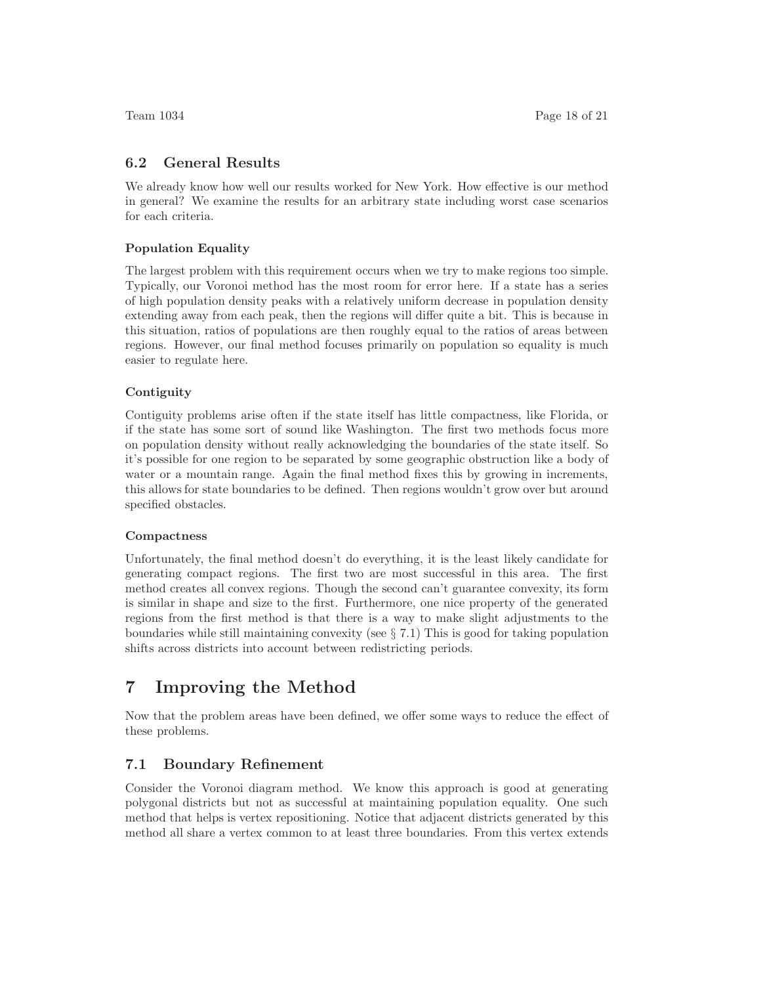#### **6.2 General Results**

We already know how well our results worked for New York. How effective is our method in general? We examine the results for an arbitrary state including worst case scenarios for each criteria.

#### **Population Equality**

The largest problem with this requirement occurs when we try to make regions too simple. Typically, our Voronoi method has the most room for error here. If a state has a series of high population density peaks with a relatively uniform decrease in population density extending away from each peak, then the regions will differ quite a bit. This is because in this situation, ratios of populations are then roughly equal to the ratios of areas between regions. However, our final method focuses primarily on population so equality is much easier to regulate here.

#### **Contiguity**

Contiguity problems arise often if the state itself has little compactness, like Florida, or if the state has some sort of sound like Washington. The first two methods focus more on population density without really acknowledging the boundaries of the state itself. So it's possible for one region to be separated by some geographic obstruction like a body of water or a mountain range. Again the final method fixes this by growing in increments, this allows for state boundaries to be defined. Then regions wouldn't grow over but around specified obstacles.

#### **Compactness**

Unfortunately, the final method doesn't do everything, it is the least likely candidate for generating compact regions. The first two are most successful in this area. The first method creates all convex regions. Though the second can't guarantee convexity, its form is similar in shape and size to the first. Furthermore, one nice property of the generated regions from the first method is that there is a way to make slight adjustments to the boundaries while still maintaining convexity (see  $\S 7.1$ ) This is good for taking population shifts across districts into account between redistricting periods.

# **7 Improving the Method**

Now that the problem areas have been defined, we offer some ways to reduce the effect of these problems.

## **7.1 Boundary Refinement**

Consider the Voronoi diagram method. We know this approach is good at generating polygonal districts but not as successful at maintaining population equality. One such method that helps is vertex repositioning. Notice that adjacent districts generated by this method all share a vertex common to at least three boundaries. From this vertex extends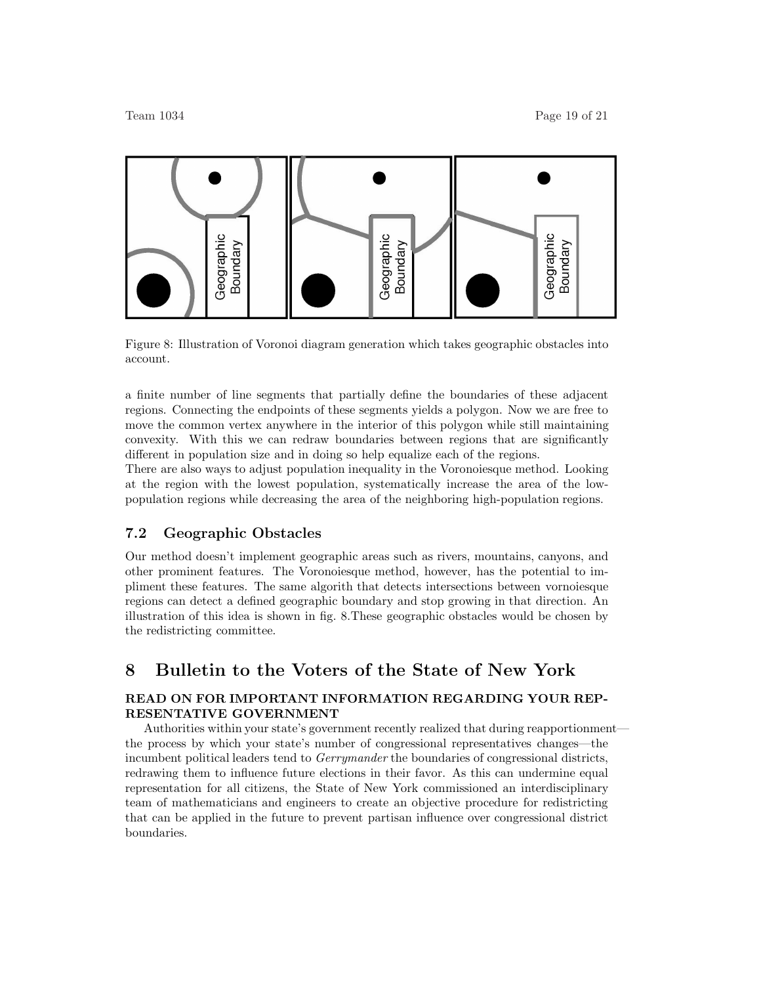

Figure 8: Illustration of Voronoi diagram generation which takes geographic obstacles into account.

a finite number of line segments that partially define the boundaries of these adjacent regions. Connecting the endpoints of these segments yields a polygon. Now we are free to move the common vertex anywhere in the interior of this polygon while still maintaining convexity. With this we can redraw boundaries between regions that are significantly different in population size and in doing so help equalize each of the regions.

There are also ways to adjust population inequality in the Voronoiesque method. Looking at the region with the lowest population, systematically increase the area of the lowpopulation regions while decreasing the area of the neighboring high-population regions.

## **7.2 Geographic Obstacles**

Our method doesn't implement geographic areas such as rivers, mountains, canyons, and other prominent features. The Voronoiesque method, however, has the potential to impliment these features. The same algorith that detects intersections between vornoiesque regions can detect a defined geographic boundary and stop growing in that direction. An illustration of this idea is shown in fig. 8.These geographic obstacles would be chosen by the redistricting committee.

# **8 Bulletin to the Voters of the State of New York**

### **READ ON FOR IMPORTANT INFORMATION REGARDING YOUR REP-RESENTATIVE GOVERNMENT**

Authorities within your state's government recently realized that during reapportionment the process by which your state's number of congressional representatives changes—the incumbent political leaders tend to *Gerrymander* the boundaries of congressional districts, redrawing them to influence future elections in their favor. As this can undermine equal representation for all citizens, the State of New York commissioned an interdisciplinary team of mathematicians and engineers to create an objective procedure for redistricting that can be applied in the future to prevent partisan influence over congressional district boundaries.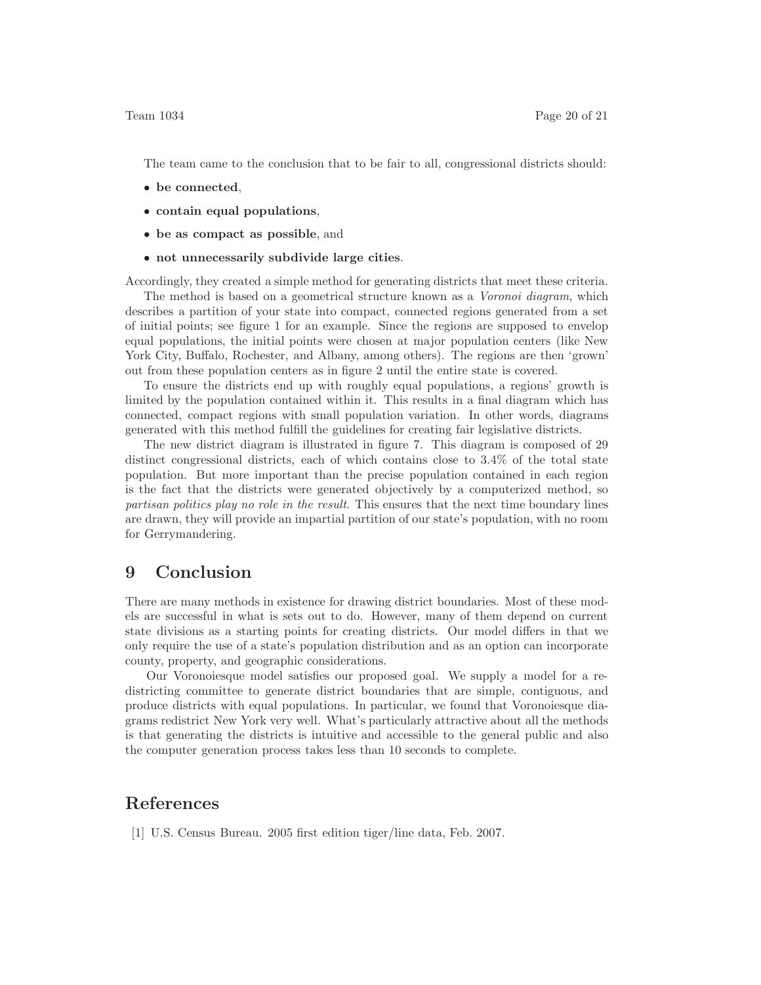The team came to the conclusion that to be fair to all, congressional districts should:

- **be connected**,
- **contain equal populations**,
- **be as compact as possible**, and
- **not unnecessarily subdivide large cities**.

Accordingly, they created a simple method for generating districts that meet these criteria. The method is based on a geometrical structure known as a *Voronoi diagram*, which describes a partition of your state into compact, connected regions generated from a set of initial points; see figure 1 for an example. Since the regions are supposed to envelop equal populations, the initial points were chosen at major population centers (like New York City, Buffalo, Rochester, and Albany, among others). The regions are then 'grown' out from these population centers as in figure 2 until the entire state is covered.

To ensure the districts end up with roughly equal populations, a regions' growth is limited by the population contained within it. This results in a final diagram which has connected, compact regions with small population variation. In other words, diagrams generated with this method fulfill the guidelines for creating fair legislative districts.

The new district diagram is illustrated in figure 7. This diagram is composed of 29 distinct congressional districts, each of which contains close to 3*.*4% of the total state population. But more important than the precise population contained in each region is the fact that the districts were generated objectively by a computerized method, so *partisan politics play no role in the result*. This ensures that the next time boundary lines are drawn, they will provide an impartial partition of our state's population, with no room for Gerrymandering.

# **9 Conclusion**

There are many methods in existence for drawing district boundaries. Most of these models are successful in what is sets out to do. However, many of them depend on current state divisions as a starting points for creating districts. Our model differs in that we only require the use of a state's population distribution and as an option can incorporate county, property, and geographic considerations.

Our Voronoiesque model satisfies our proposed goal. We supply a model for a redistricting committee to generate district boundaries that are simple, contiguous, and produce districts with equal populations. In particular, we found that Voronoiesque diagrams redistrict New York very well. What's particularly attractive about all the methods is that generating the districts is intuitive and accessible to the general public and also the computer generation process takes less than 10 seconds to complete.

# **References**

[1] U.S. Census Bureau. 2005 first edition tiger/line data, Feb. 2007.